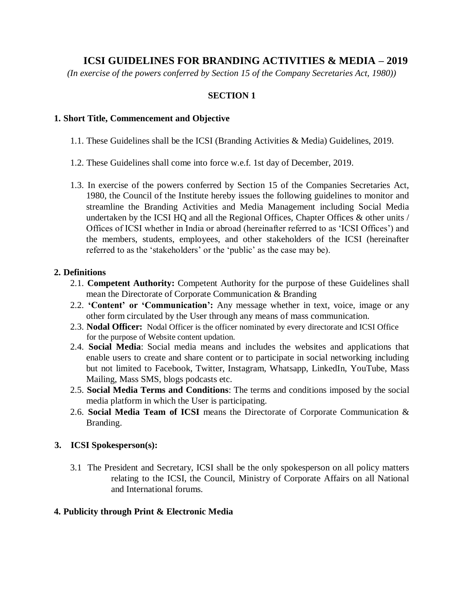# **ICSI GUIDELINES FOR BRANDING ACTIVITIES & MEDIA – 2019**

*(In exercise of the powers conferred by Section 15 of the Company Secretaries Act, 1980))* 

### **SECTION 1**

#### **1. Short Title, Commencement and Objective**

- 1.1. These Guidelines shall be the ICSI (Branding Activities & Media) Guidelines, 2019.
- 1.2. These Guidelines shall come into force w.e.f. 1st day of December, 2019.
- 1.3. In exercise of the powers conferred by Section 15 of the Companies Secretaries Act, 1980, the Council of the Institute hereby issues the following guidelines to monitor and streamline the Branding Activities and Media Management including Social Media undertaken by the ICSI HQ and all the Regional Offices, Chapter Offices & other units / Offices of ICSI whether in India or abroad (hereinafter referred to as 'ICSI Offices') and the members, students, employees, and other stakeholders of the ICSI (hereinafter referred to as the 'stakeholders' or the 'public' as the case may be).

#### **2. Definitions**

- 2.1. **Competent Authority:** Competent Authority for the purpose of these Guidelines shall mean the Directorate of Corporate Communication & Branding
- 2.2. **'Content' or 'Communication':** Any message whether in text, voice, image or any other form circulated by the User through any means of mass communication.
- 2.3. **Nodal Officer:** Nodal Officer is the officer nominated by every directorate and ICSI Office for the purpose of Website content updation.
- 2.4. **Social Media**: Social media means and includes the websites and applications that enable users to create and share content or to participate in social networking including but not limited to Facebook, Twitter, Instagram, Whatsapp, LinkedIn, YouTube, Mass Mailing, Mass SMS, blogs podcasts etc.
- 2.5. **Social Media Terms and Conditions**: The terms and conditions imposed by the social media platform in which the User is participating.
- 2.6. **Social Media Team of ICSI** means the Directorate of Corporate Communication & Branding.

#### **3. ICSI Spokesperson(s):**

3.1 The President and Secretary, ICSI shall be the only spokesperson on all policy matters relating to the ICSI, the Council, Ministry of Corporate Affairs on all National and International forums.

#### **4. Publicity through Print & Electronic Media**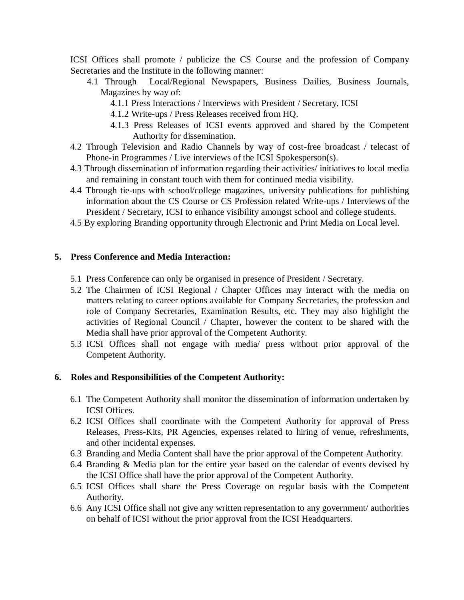ICSI Offices shall promote / publicize the CS Course and the profession of Company Secretaries and the Institute in the following manner:

- 4.1 Through Local/Regional Newspapers, Business Dailies, Business Journals, Magazines by way of:
	- 4.1.1 Press Interactions / Interviews with President / Secretary, ICSI
	- 4.1.2 Write-ups / Press Releases received from HQ.
	- 4.1.3 Press Releases of ICSI events approved and shared by the Competent Authority for dissemination.
- 4.2 Through Television and Radio Channels by way of cost-free broadcast / telecast of Phone-in Programmes / Live interviews of the ICSI Spokesperson(s).
- 4.3 Through dissemination of information regarding their activities/ initiatives to local media and remaining in constant touch with them for continued media visibility.
- 4.4 Through tie-ups with school/college magazines, university publications for publishing information about the CS Course or CS Profession related Write-ups / Interviews of the President / Secretary, ICSI to enhance visibility amongst school and college students.
- 4.5 By exploring Branding opportunity through Electronic and Print Media on Local level.

# **5. Press Conference and Media Interaction:**

- 5.1 Press Conference can only be organised in presence of President / Secretary.
- 5.2 The Chairmen of ICSI Regional / Chapter Offices may interact with the media on matters relating to career options available for Company Secretaries, the profession and role of Company Secretaries, Examination Results, etc. They may also highlight the activities of Regional Council / Chapter, however the content to be shared with the Media shall have prior approval of the Competent Authority.
- 5.3 ICSI Offices shall not engage with media/ press without prior approval of the Competent Authority.

# **6. Roles and Responsibilities of the Competent Authority:**

- 6.1 The Competent Authority shall monitor the dissemination of information undertaken by ICSI Offices.
- 6.2 ICSI Offices shall coordinate with the Competent Authority for approval of Press Releases, Press-Kits, PR Agencies, expenses related to hiring of venue, refreshments, and other incidental expenses.
- 6.3 Branding and Media Content shall have the prior approval of the Competent Authority.
- 6.4 Branding & Media plan for the entire year based on the calendar of events devised by the ICSI Office shall have the prior approval of the Competent Authority.
- 6.5 ICSI Offices shall share the Press Coverage on regular basis with the Competent Authority.
- 6.6 Any ICSI Office shall not give any written representation to any government/ authorities on behalf of ICSI without the prior approval from the ICSI Headquarters.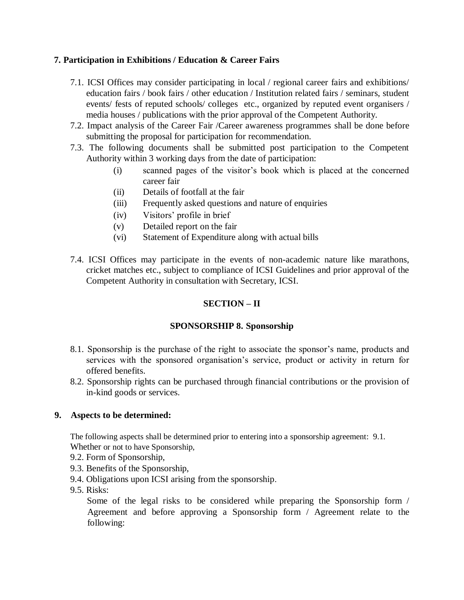### **7. Participation in Exhibitions / Education & Career Fairs**

- 7.1. ICSI Offices may consider participating in local / regional career fairs and exhibitions/ education fairs / book fairs / other education / Institution related fairs / seminars, student events/ fests of reputed schools/ colleges etc., organized by reputed event organisers / media houses / publications with the prior approval of the Competent Authority.
- 7.2. Impact analysis of the Career Fair /Career awareness programmes shall be done before submitting the proposal for participation for recommendation.
- 7.3. The following documents shall be submitted post participation to the Competent Authority within 3 working days from the date of participation:
	- (i) scanned pages of the visitor's book which is placed at the concerned career fair
	- (ii) Details of footfall at the fair
	- (iii) Frequently asked questions and nature of enquiries
	- (iv) Visitors' profile in brief
	- (v) Detailed report on the fair
	- (vi) Statement of Expenditure along with actual bills
- 7.4. ICSI Offices may participate in the events of non-academic nature like marathons, cricket matches etc., subject to compliance of ICSI Guidelines and prior approval of the Competent Authority in consultation with Secretary, ICSI.

# **SECTION – II**

## **SPONSORSHIP 8. Sponsorship**

- 8.1. Sponsorship is the purchase of the right to associate the sponsor's name, products and services with the sponsored organisation's service, product or activity in return for offered benefits.
- 8.2. Sponsorship rights can be purchased through financial contributions or the provision of in-kind goods or services.

## **9. Aspects to be determined:**

The following aspects shall be determined prior to entering into a sponsorship agreement: 9.1. Whether or not to have Sponsorship,

- 9.2. Form of Sponsorship,
- 9.3. Benefits of the Sponsorship,
- 9.4. Obligations upon ICSI arising from the sponsorship.
- 9.5. Risks:

Some of the legal risks to be considered while preparing the Sponsorship form / Agreement and before approving a Sponsorship form / Agreement relate to the following: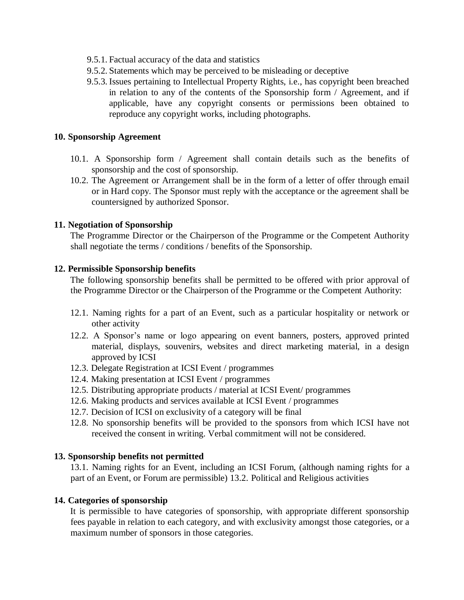- 9.5.1. Factual accuracy of the data and statistics
- 9.5.2. Statements which may be perceived to be misleading or deceptive
- 9.5.3. Issues pertaining to Intellectual Property Rights, i.e., has copyright been breached in relation to any of the contents of the Sponsorship form / Agreement, and if applicable, have any copyright consents or permissions been obtained to reproduce any copyright works, including photographs.

#### **10. Sponsorship Agreement**

- 10.1. A Sponsorship form / Agreement shall contain details such as the benefits of sponsorship and the cost of sponsorship.
- 10.2. The Agreement or Arrangement shall be in the form of a letter of offer through email or in Hard copy. The Sponsor must reply with the acceptance or the agreement shall be countersigned by authorized Sponsor.

#### **11. Negotiation of Sponsorship**

The Programme Director or the Chairperson of the Programme or the Competent Authority shall negotiate the terms / conditions / benefits of the Sponsorship.

#### **12. Permissible Sponsorship benefits**

The following sponsorship benefits shall be permitted to be offered with prior approval of the Programme Director or the Chairperson of the Programme or the Competent Authority:

- 12.1. Naming rights for a part of an Event, such as a particular hospitality or network or other activity
- 12.2. A Sponsor's name or logo appearing on event banners, posters, approved printed material, displays, souvenirs, websites and direct marketing material, in a design approved by ICSI
- 12.3. Delegate Registration at ICSI Event / programmes
- 12.4. Making presentation at ICSI Event / programmes
- 12.5. Distributing appropriate products / material at ICSI Event/ programmes
- 12.6. Making products and services available at ICSI Event / programmes
- 12.7. Decision of ICSI on exclusivity of a category will be final
- 12.8. No sponsorship benefits will be provided to the sponsors from which ICSI have not received the consent in writing. Verbal commitment will not be considered.

#### **13. Sponsorship benefits not permitted**

13.1. Naming rights for an Event, including an ICSI Forum, (although naming rights for a part of an Event, or Forum are permissible) 13.2. Political and Religious activities

#### **14. Categories of sponsorship**

It is permissible to have categories of sponsorship, with appropriate different sponsorship fees payable in relation to each category, and with exclusivity amongst those categories, or a maximum number of sponsors in those categories.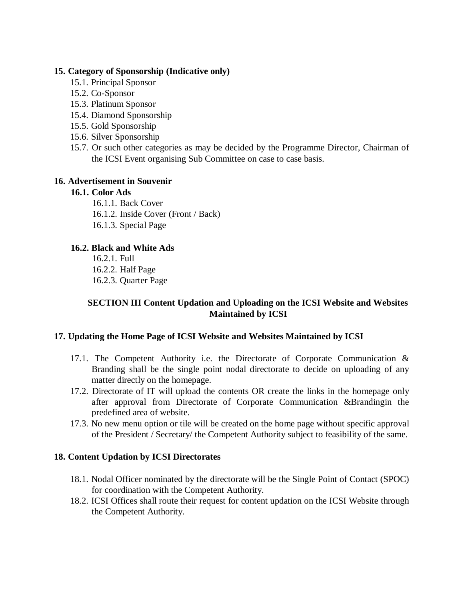#### **15. Category of Sponsorship (Indicative only)**

- 15.1. Principal Sponsor
- 15.2. Co-Sponsor
- 15.3. Platinum Sponsor
- 15.4. Diamond Sponsorship
- 15.5. Gold Sponsorship
- 15.6. Silver Sponsorship
- 15.7. Or such other categories as may be decided by the Programme Director, Chairman of the ICSI Event organising Sub Committee on case to case basis.

## **16. Advertisement in Souvenir**

## **16.1. Color Ads**

- 16.1.1. Back Cover
- 16.1.2. Inside Cover (Front / Back)
- 16.1.3. Special Page

# **16.2. Black and White Ads**

16.2.1. Full 16.2.2. Half Page 16.2.3. Quarter Page

# **SECTION III Content Updation and Uploading on the ICSI Website and Websites Maintained by ICSI**

## **17. Updating the Home Page of ICSI Website and Websites Maintained by ICSI**

- 17.1. The Competent Authority i.e. the Directorate of Corporate Communication & Branding shall be the single point nodal directorate to decide on uploading of any matter directly on the homepage.
- 17.2. Directorate of IT will upload the contents OR create the links in the homepage only after approval from Directorate of Corporate Communication &Brandingin the predefined area of website.
- 17.3. No new menu option or tile will be created on the home page without specific approval of the President / Secretary/ the Competent Authority subject to feasibility of the same.

## **18. Content Updation by ICSI Directorates**

- 18.1. Nodal Officer nominated by the directorate will be the Single Point of Contact (SPOC) for coordination with the Competent Authority.
- 18.2. ICSI Offices shall route their request for content updation on the ICSI Website through the Competent Authority.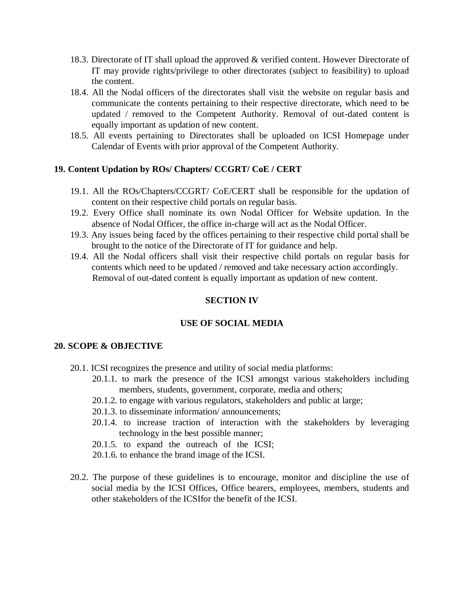- 18.3. Directorate of IT shall upload the approved & verified content. However Directorate of IT may provide rights/privilege to other directorates (subject to feasibility) to upload the content.
- 18.4. All the Nodal officers of the directorates shall visit the website on regular basis and communicate the contents pertaining to their respective directorate, which need to be updated / removed to the Competent Authority. Removal of out-dated content is equally important as updation of new content.
- 18.5. All events pertaining to Directorates shall be uploaded on ICSI Homepage under Calendar of Events with prior approval of the Competent Authority.

#### **19. Content Updation by ROs/ Chapters/ CCGRT/ CoE / CERT**

- 19.1. All the ROs/Chapters/CCGRT/ CoE/CERT shall be responsible for the updation of content on their respective child portals on regular basis.
- 19.2. Every Office shall nominate its own Nodal Officer for Website updation. In the absence of Nodal Officer, the office in-charge will act as the Nodal Officer.
- 19.3. Any issues being faced by the offices pertaining to their respective child portal shall be brought to the notice of the Directorate of IT for guidance and help.
- 19.4. All the Nodal officers shall visit their respective child portals on regular basis for contents which need to be updated / removed and take necessary action accordingly. Removal of out-dated content is equally important as updation of new content.

## **SECTION IV**

## **USE OF SOCIAL MEDIA**

#### **20. SCOPE & OBJECTIVE**

- 20.1. ICSI recognizes the presence and utility of social media platforms:
	- 20.1.1. to mark the presence of the ICSI amongst various stakeholders including members, students, government, corporate, media and others;
	- 20.1.2. to engage with various regulators, stakeholders and public at large;
	- 20.1.3. to disseminate information/ announcements;
	- 20.1.4. to increase traction of interaction with the stakeholders by leveraging technology in the best possible manner;
	- 20.1.5. to expand the outreach of the ICSI;
	- 20.1.6. to enhance the brand image of the ICSI.
- 20.2. The purpose of these guidelines is to encourage, monitor and discipline the use of social media by the ICSI Offices, Office bearers, employees, members, students and other stakeholders of the ICSIfor the benefit of the ICSI.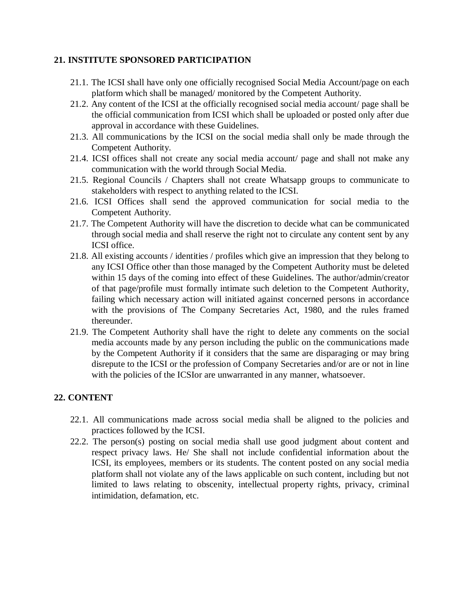### **21. INSTITUTE SPONSORED PARTICIPATION**

- 21.1. The ICSI shall have only one officially recognised Social Media Account/page on each platform which shall be managed/ monitored by the Competent Authority.
- 21.2. Any content of the ICSI at the officially recognised social media account/ page shall be the official communication from ICSI which shall be uploaded or posted only after due approval in accordance with these Guidelines.
- 21.3. All communications by the ICSI on the social media shall only be made through the Competent Authority.
- 21.4. ICSI offices shall not create any social media account/ page and shall not make any communication with the world through Social Media.
- 21.5. Regional Councils / Chapters shall not create Whatsapp groups to communicate to stakeholders with respect to anything related to the ICSI.
- 21.6. ICSI Offices shall send the approved communication for social media to the Competent Authority.
- 21.7. The Competent Authority will have the discretion to decide what can be communicated through social media and shall reserve the right not to circulate any content sent by any ICSI office.
- 21.8. All existing accounts / identities / profiles which give an impression that they belong to any ICSI Office other than those managed by the Competent Authority must be deleted within 15 days of the coming into effect of these Guidelines. The author/admin/creator of that page/profile must formally intimate such deletion to the Competent Authority, failing which necessary action will initiated against concerned persons in accordance with the provisions of The Company Secretaries Act, 1980, and the rules framed thereunder.
- 21.9. The Competent Authority shall have the right to delete any comments on the social media accounts made by any person including the public on the communications made by the Competent Authority if it considers that the same are disparaging or may bring disrepute to the ICSI or the profession of Company Secretaries and/or are or not in line with the policies of the ICSIor are unwarranted in any manner, whatsoever.

# **22. CONTENT**

- 22.1. All communications made across social media shall be aligned to the policies and practices followed by the ICSI.
- 22.2. The person(s) posting on social media shall use good judgment about content and respect privacy laws. He/ She shall not include confidential information about the ICSI, its employees, members or its students. The content posted on any social media platform shall not violate any of the laws applicable on such content, including but not limited to laws relating to obscenity, intellectual property rights, privacy, criminal intimidation, defamation, etc.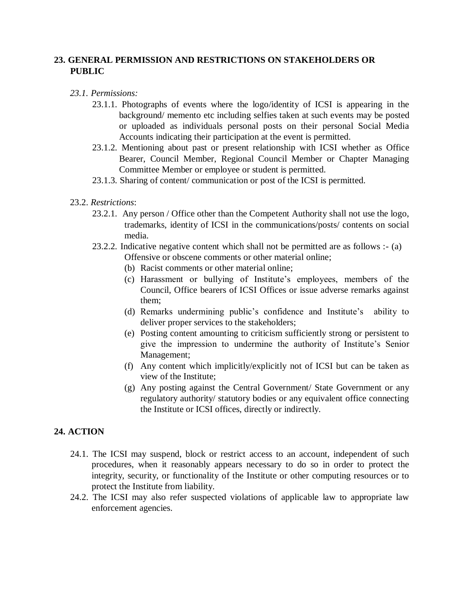# **23. GENERAL PERMISSION AND RESTRICTIONS ON STAKEHOLDERS OR PUBLIC**

#### *23.1. Permissions:*

- 23.1.1. Photographs of events where the logo/identity of ICSI is appearing in the background/ memento etc including selfies taken at such events may be posted or uploaded as individuals personal posts on their personal Social Media Accounts indicating their participation at the event is permitted.
- 23.1.2. Mentioning about past or present relationship with ICSI whether as Office Bearer, Council Member, Regional Council Member or Chapter Managing Committee Member or employee or student is permitted.
- 23.1.3. Sharing of content/ communication or post of the ICSI is permitted.

#### 23.2. *Restrictions*:

- 23.2.1. Any person / Office other than the Competent Authority shall not use the logo, trademarks, identity of ICSI in the communications/posts/ contents on social media.
- 23.2.2. Indicative negative content which shall not be permitted are as follows :- (a) Offensive or obscene comments or other material online;
	- (b) Racist comments or other material online;
	- (c) Harassment or bullying of Institute's employees, members of the Council, Office bearers of ICSI Offices or issue adverse remarks against them;
	- (d) Remarks undermining public's confidence and Institute's ability to deliver proper services to the stakeholders;
	- (e) Posting content amounting to criticism sufficiently strong or persistent to give the impression to undermine the authority of Institute's Senior Management;
	- (f) Any content which implicitly/explicitly not of ICSI but can be taken as view of the Institute;
	- (g) Any posting against the Central Government/ State Government or any regulatory authority/ statutory bodies or any equivalent office connecting the Institute or ICSI offices, directly or indirectly.

## **24. ACTION**

- 24.1. The ICSI may suspend, block or restrict access to an account, independent of such procedures, when it reasonably appears necessary to do so in order to protect the integrity, security, or functionality of the Institute or other computing resources or to protect the Institute from liability.
- 24.2. The ICSI may also refer suspected violations of applicable law to appropriate law enforcement agencies.